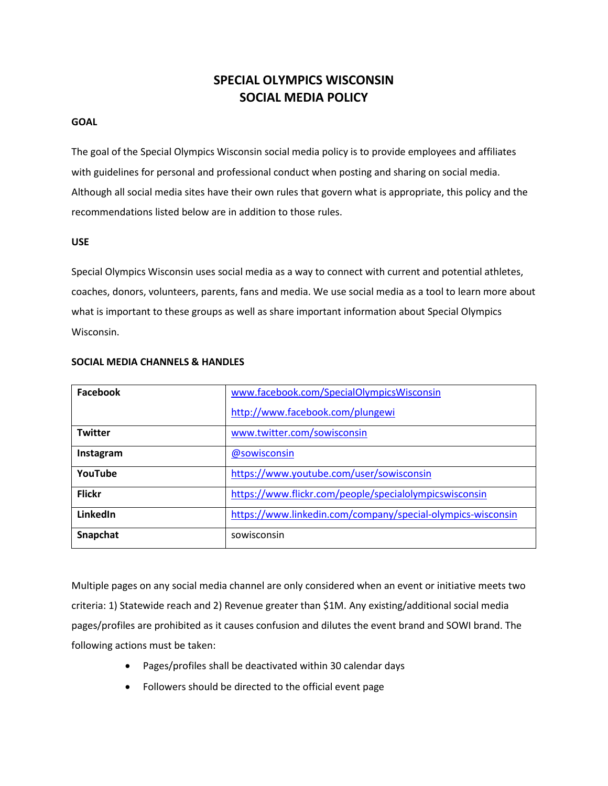# **SPECIAL OLYMPICS WISCONSIN SOCIAL MEDIA POLICY**

## **GOAL**

The goal of the Special Olympics Wisconsin social media policy is to provide employees and affiliates with guidelines for personal and professional conduct when posting and sharing on social media. Although all social media sites have their own rules that govern what is appropriate, this policy and the recommendations listed below are in addition to those rules.

#### **USE**

Special Olympics Wisconsin uses social media as a way to connect with current and potential athletes, coaches, donors, volunteers, parents, fans and media. We use social media as a tool to learn more about what is important to these groups as well as share important information about Special Olympics Wisconsin.

| Facebook       | www.facebook.com/SpecialOlympicsWisconsin                   |
|----------------|-------------------------------------------------------------|
|                | http://www.facebook.com/plungewi                            |
| <b>Twitter</b> | www.twitter.com/sowisconsin                                 |
| Instagram      | @sowisconsin                                                |
| YouTube        | https://www.youtube.com/user/sowisconsin                    |
| <b>Flickr</b>  | https://www.flickr.com/people/specialolympicswisconsin      |
| LinkedIn       | https://www.linkedin.com/company/special-olympics-wisconsin |
| Snapchat       | sowisconsin                                                 |

#### **SOCIAL MEDIA CHANNELS & HANDLES**

Multiple pages on any social media channel are only considered when an event or initiative meets two criteria: 1) Statewide reach and 2) Revenue greater than \$1M. Any existing/additional social media pages/profiles are prohibited as it causes confusion and dilutes the event brand and SOWI brand. The following actions must be taken:

- Pages/profiles shall be deactivated within 30 calendar days
- Followers should be directed to the official event page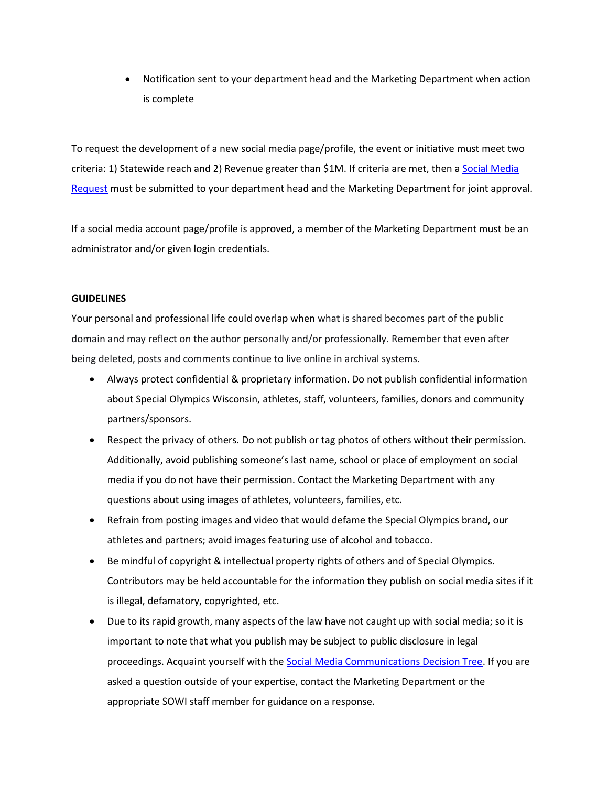Notification sent to your department head and the Marketing Department when action is complete

To request the development of a new social media page/profile, the event or initiative must meet two criteria: 1) Statewide reach and 2) Revenue greater than \$1M. If criteria are met, then a **Social Media** [Request](file:///C:/Users/mwolfgram/AppData/Local/Microsoft/Windows/INetCache/Content.Outlook/5Y8ZDR9J/Social%20Media%20Request.docx) must be submitted to your department head and the Marketing Department for joint approval.

If a social media account page/profile is approved, a member of the Marketing Department must be an administrator and/or given login credentials.

### **GUIDELINES**

Your personal and professional life could overlap when what is shared becomes part of the public domain and may reflect on the author personally and/or professionally. Remember that even after being deleted, posts and comments continue to live online in archival systems.

- Always protect confidential & proprietary information. Do not publish confidential information about Special Olympics Wisconsin, athletes, staff, volunteers, families, donors and community partners/sponsors.
- Respect the privacy of others. Do not publish or tag photos of others without their permission. Additionally, avoid publishing someone's last name, school or place of employment on social media if you do not have their permission. Contact the Marketing Department with any questions about using images of athletes, volunteers, families, etc.
- Refrain from posting images and video that would defame the Special Olympics brand, our athletes and partners; avoid images featuring use of alcohol and tobacco.
- Be mindful of copyright & intellectual property rights of others and of Special Olympics. Contributors may be held accountable for the information they publish on social media sites if it is illegal, defamatory, copyrighted, etc.
- Due to its rapid growth, many aspects of the law have not caught up with social media; so it is important to note that what you publish may be subject to public disclosure in legal proceedings. Acquaint yourself with th[e Social Media Communications Decision Tree.](file:///C:/Users/mwolfgram/AppData/Local/Microsoft/Windows/INetCache/Content.Outlook/5Y8ZDR9J/Decision%20Tree.pptx) If you are asked a question outside of your expertise, contact the Marketing Department or the appropriate SOWI staff member for guidance on a response.